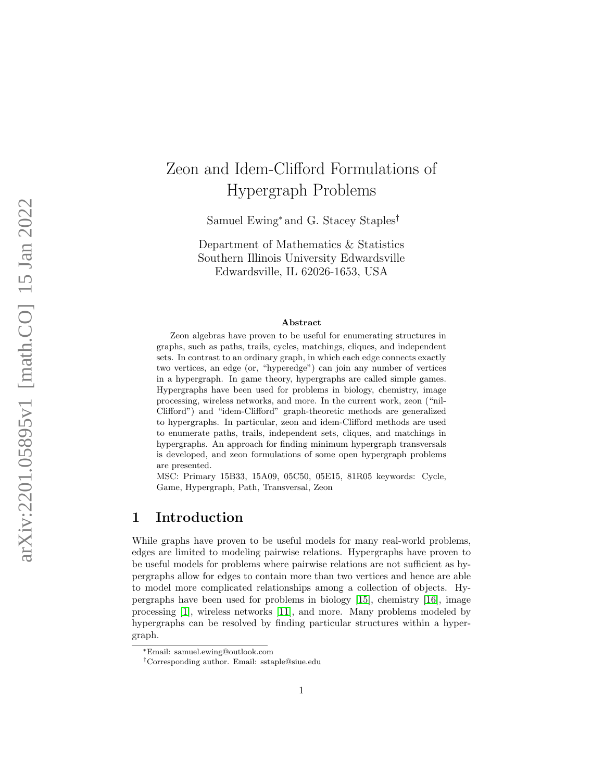# Zeon and Idem-Clifford Formulations of Hypergraph Problems

Samuel Ewing <sup>∗</sup> and G. Stacey Staples †

Department of Mathematics & Statistics Southern Illinois University Edwardsville Edwardsville, IL 62026-1653, USA

#### Abstract

Zeon algebras have proven to be useful for enumerating structures in graphs, such as paths, trails, cycles, matchings, cliques, and independent sets. In contrast to an ordinary graph, in which each edge connects exactly two vertices, an edge (or, "hyperedge") can join any number of vertices in a hypergraph. In game theory, hypergraphs are called simple games. Hypergraphs have been used for problems in biology, chemistry, image processing, wireless networks, and more. In the current work, zeon ("nil-Clifford") and "idem-Clifford" graph-theoretic methods are generalized to hypergraphs. In particular, zeon and idem-Clifford methods are used to enumerate paths, trails, independent sets, cliques, and matchings in hypergraphs. An approach for finding minimum hypergraph transversals is developed, and zeon formulations of some open hypergraph problems are presented.

MSC: Primary 15B33, 15A09, 05C50, 05E15, 81R05 keywords: Cycle, Game, Hypergraph, Path, Transversal, Zeon

# 1 Introduction

While graphs have proven to be useful models for many real-world problems, edges are limited to modeling pairwise relations. Hypergraphs have proven to be useful models for problems where pairwise relations are not sufficient as hypergraphs allow for edges to contain more than two vertices and hence are able to model more complicated relationships among a collection of objects. Hypergraphs have been used for problems in biology [\[15\]](#page-21-0), chemistry [\[16\]](#page-21-1), image processing [\[1\]](#page-19-0), wireless networks [\[11\]](#page-20-0), and more. Many problems modeled by hypergraphs can be resolved by finding particular structures within a hypergraph.

<sup>∗</sup>Email: samuel.ewing@outlook.com

<sup>†</sup>Corresponding author. Email: sstaple@siue.edu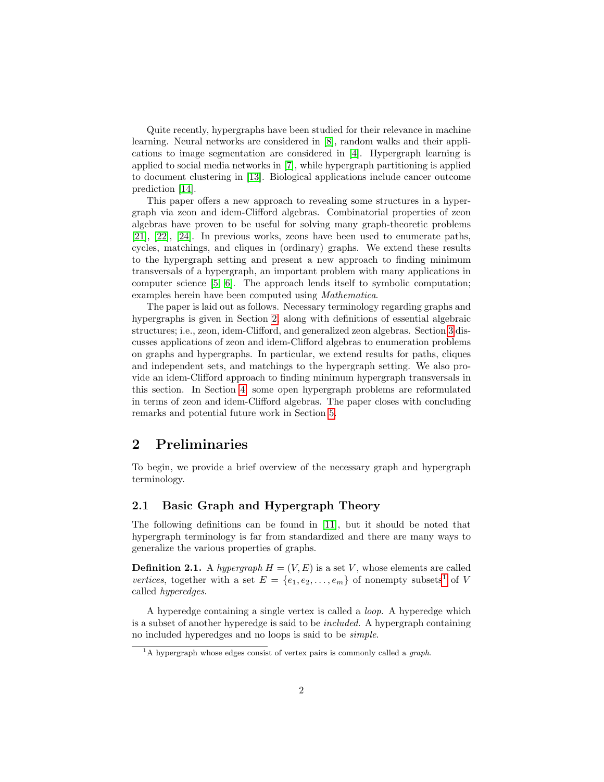Quite recently, hypergraphs have been studied for their relevance in machine learning. Neural networks are considered in [\[8\]](#page-20-1), random walks and their applications to image segmentation are considered in [\[4\]](#page-20-2). Hypergraph learning is applied to social media networks in [\[7\]](#page-20-3), while hypergraph partitioning is applied to document clustering in [\[13\]](#page-20-4). Biological applications include cancer outcome prediction [\[14\]](#page-21-2).

This paper offers a new approach to revealing some structures in a hypergraph via zeon and idem-Clifford algebras. Combinatorial properties of zeon algebras have proven to be useful for solving many graph-theoretic problems [\[21\]](#page-21-3), [\[22\]](#page-21-4), [\[24\]](#page-21-5). In previous works, zeons have been used to enumerate paths, cycles, matchings, and cliques in (ordinary) graphs. We extend these results to the hypergraph setting and present a new approach to finding minimum transversals of a hypergraph, an important problem with many applications in computer science [\[5,](#page-20-5) [6\]](#page-20-6). The approach lends itself to symbolic computation; examples herein have been computed using Mathematica.

The paper is laid out as follows. Necessary terminology regarding graphs and hypergraphs is given in Section [2,](#page-1-0) along with definitions of essential algebraic structures; i.e., zeon, idem-Clifford, and generalized zeon algebras. Section [3](#page-5-0) discusses applications of zeon and idem-Clifford algebras to enumeration problems on graphs and hypergraphs. In particular, we extend results for paths, cliques and independent sets, and matchings to the hypergraph setting. We also provide an idem-Clifford approach to finding minimum hypergraph transversals in this section. In Section [4,](#page-18-0) some open hypergraph problems are reformulated in terms of zeon and idem-Clifford algebras. The paper closes with concluding remarks and potential future work in Section [5.](#page-19-1)

# <span id="page-1-0"></span>2 Preliminaries

To begin, we provide a brief overview of the necessary graph and hypergraph terminology.

### 2.1 Basic Graph and Hypergraph Theory

The following definitions can be found in [\[11\]](#page-20-0), but it should be noted that hypergraph terminology is far from standardized and there are many ways to generalize the various properties of graphs.

**Definition 2.1.** A hypergraph  $H = (V, E)$  is a set V, whose elements are called vertices, together with a set  $E = \{e_1, e_2, \ldots, e_m\}$  $E = \{e_1, e_2, \ldots, e_m\}$  $E = \{e_1, e_2, \ldots, e_m\}$  of nonempty subsets<sup>1</sup> of V called hyperedges.

A hyperedge containing a single vertex is called a loop. A hyperedge which is a subset of another hyperedge is said to be included. A hypergraph containing no included hyperedges and no loops is said to be simple.

<span id="page-1-1"></span> $1A$  hypergraph whose edges consist of vertex pairs is commonly called a graph.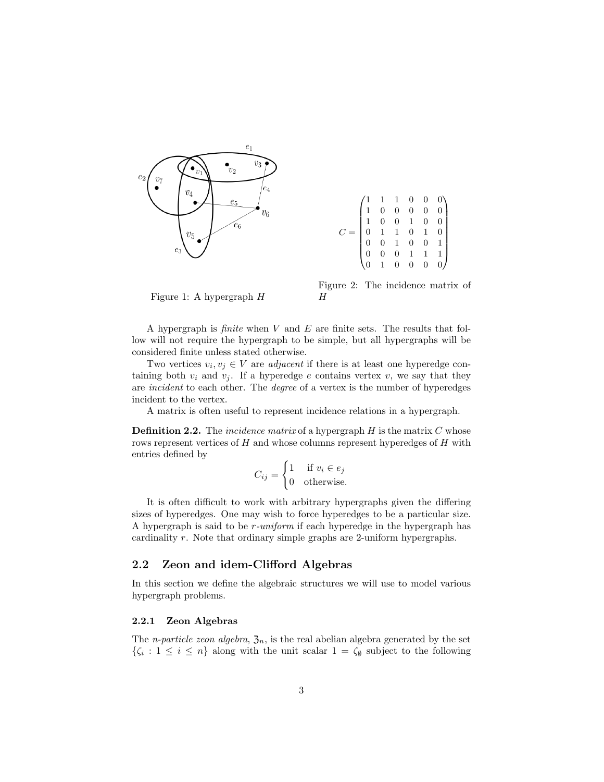

|  |  |  | $\begin{pmatrix} 1 & 1 & 1 & 0 & 0 & 0 \\ 1 & 0 & 0 & 0 & 0 & 0 \\ 1 & 0 & 0 & 1 & 0 & 0 \\ 0 & 1 & 1 & 0 & 1 & 0 \\ 0 & 0 & 1 & 0 & 0 & 1 \\ 0 & 0 & 0 & 1 & 1 & 1 \\ 0 & 1 & 0 & 0 & 0 & 0 \end{pmatrix}$ |
|--|--|--|-------------------------------------------------------------------------------------------------------------------------------------------------------------------------------------------------------------|
|  |  |  |                                                                                                                                                                                                             |
|  |  |  |                                                                                                                                                                                                             |
|  |  |  |                                                                                                                                                                                                             |
|  |  |  |                                                                                                                                                                                                             |
|  |  |  |                                                                                                                                                                                                             |
|  |  |  |                                                                                                                                                                                                             |

<span id="page-2-0"></span>Figure 1: A hypergraph H

Figure 2: The incidence matrix of H

A hypergraph is *finite* when V and E are finite sets. The results that follow will not require the hypergraph to be simple, but all hypergraphs will be considered finite unless stated otherwise.

Two vertices  $v_i, v_j \in V$  are *adjacent* if there is at least one hyperedge containing both  $v_i$  and  $v_j$ . If a hyperedge e contains vertex v, we say that they are incident to each other. The degree of a vertex is the number of hyperedges incident to the vertex.

A matrix is often useful to represent incidence relations in a hypergraph.

**Definition 2.2.** The *incidence matrix* of a hypergraph  $H$  is the matrix  $C$  whose rows represent vertices of H and whose columns represent hyperedges of H with entries defined by

$$
C_{ij} = \begin{cases} 1 & \text{if } v_i \in e_j \\ 0 & \text{otherwise.} \end{cases}
$$

It is often difficult to work with arbitrary hypergraphs given the differing sizes of hyperedges. One may wish to force hyperedges to be a particular size. A hypergraph is said to be r-uniform if each hyperedge in the hypergraph has cardinality r. Note that ordinary simple graphs are 2-uniform hypergraphs.

### 2.2 Zeon and idem-Clifford Algebras

In this section we define the algebraic structures we will use to model various hypergraph problems.

#### 2.2.1 Zeon Algebras

The *n-particle zeon algebra*,  $\mathfrak{Z}_n$ , is the real abelian algebra generated by the set  $\{\zeta_i : 1 \leq i \leq n\}$  along with the unit scalar  $1 = \zeta_{\emptyset}$  subject to the following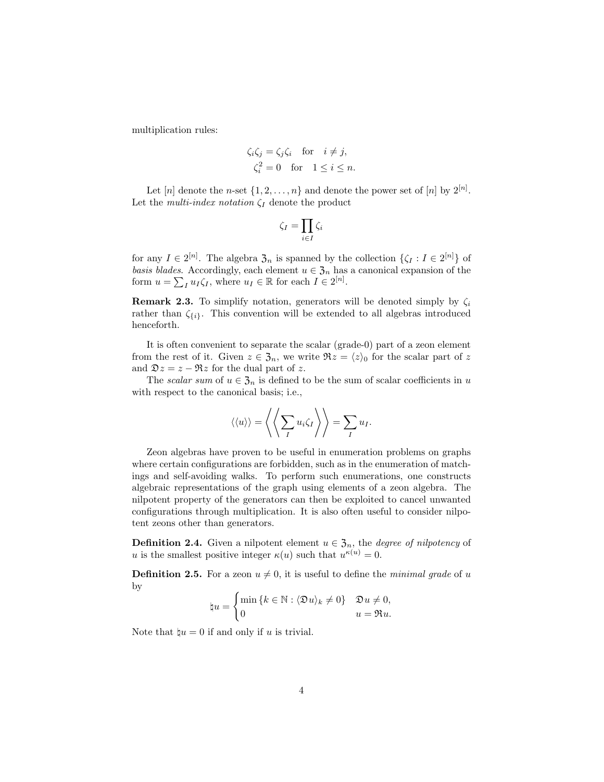multiplication rules:

$$
\zeta_i \zeta_j = \zeta_j \zeta_i \quad \text{for} \quad i \neq j,
$$
  

$$
\zeta_i^2 = 0 \quad \text{for} \quad 1 \leq i \leq n.
$$

Let [n] denote the n-set  $\{1, 2, ..., n\}$  and denote the power set of [n] by  $2^{[n]}$ . Let the *multi-index notation*  $\zeta_I$  denote the product

$$
\zeta_I = \prod_{i \in I} \zeta_i
$$

for any  $I \in 2^{[n]}$ . The algebra  $\mathfrak{Z}_n$  is spanned by the collection  $\{\zeta_I : I \in 2^{[n]}\}\$  of basis blades. Accordingly, each element  $u \in \mathfrak{Z}_n$  has a canonical expansion of the form  $u = \sum_I u_I \zeta_I$ , where  $u_I \in \mathbb{R}$  for each  $I \in 2^{[n]}$ .

**Remark 2.3.** To simplify notation, generators will be denoted simply by  $\zeta_i$ rather than  $\zeta_{\{i\}}$ . This convention will be extended to all algebras introduced henceforth.

It is often convenient to separate the scalar (grade-0) part of a zeon element from the rest of it. Given  $z \in \mathfrak{Z}_n$ , we write  $\Re z = \langle z \rangle_0$  for the scalar part of z and  $\mathfrak{D}z = z - \Re z$  for the dual part of z.

The scalar sum of  $u \in \mathfrak{Z}_n$  is defined to be the sum of scalar coefficients in u with respect to the canonical basis; i.e.,

$$
\langle \langle u \rangle \rangle = \left\langle \left\langle \sum_{I} u_i \zeta_I \right\rangle \right\rangle = \sum_{I} u_I.
$$

Zeon algebras have proven to be useful in enumeration problems on graphs where certain configurations are forbidden, such as in the enumeration of matchings and self-avoiding walks. To perform such enumerations, one constructs algebraic representations of the graph using elements of a zeon algebra. The nilpotent property of the generators can then be exploited to cancel unwanted configurations through multiplication. It is also often useful to consider nilpotent zeons other than generators.

**Definition 2.4.** Given a nilpotent element  $u \in \mathfrak{Z}_n$ , the *degree of nilpotency* of u is the smallest positive integer  $\kappa(u)$  such that  $u^{\kappa(u)} = 0$ .

**Definition 2.5.** For a zeon  $u \neq 0$ , it is useful to define the *minimal grade* of u by

$$
\sharp u = \begin{cases} \min \left\{ k \in \mathbb{N} : \langle \mathfrak{D} u \rangle_k \neq 0 \right\} & \mathfrak{D} u \neq 0, \\ 0 & u = \mathfrak{R} u. \end{cases}
$$

Note that  $\mathbf{u} = 0$  if and only if u is trivial.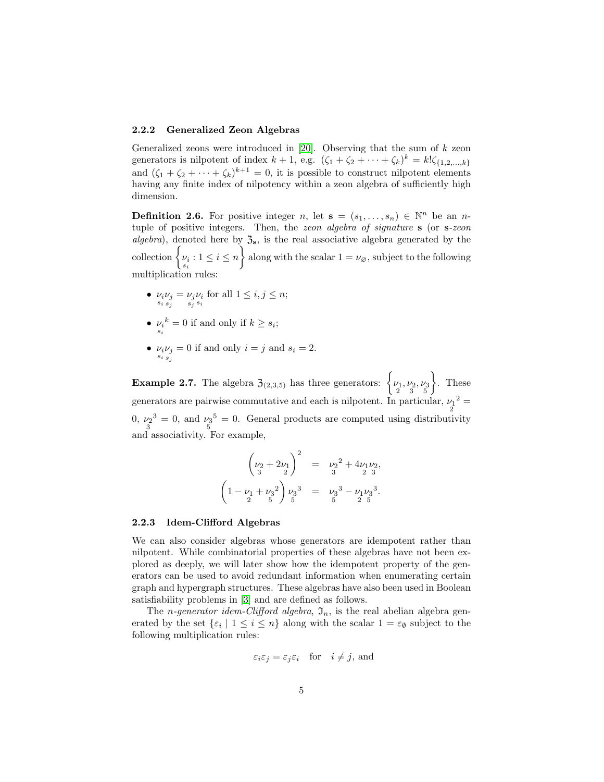#### 2.2.2 Generalized Zeon Algebras

Generalized zeons were introduced in  $[20]$ . Observing that the sum of k zeon generators is nilpotent of index  $k + 1$ , e.g.  $(\zeta_1 + \zeta_2 + \cdots + \zeta_k)^k = k! \zeta_{\{1,2,\ldots,k\}}$ and  $(\zeta_1 + \zeta_2 + \cdots + \zeta_k)^{k+1} = 0$ , it is possible to construct nilpotent elements having any finite index of nilpotency within a zeon algebra of sufficiently high dimension.

**Definition 2.6.** For positive integer n, let  $\mathbf{s} = (s_1, \ldots, s_n) \in \mathbb{N}^n$  be an ntuple of positive integers. Then, the zeon algebra of signature s (or s-zeon algebra), denoted here by  $\mathfrak{Z}_s$ , is the real associative algebra generated by the collection  $\left\{\nu_i: 1 \leq i \leq n\right\}$  along with the scalar  $1 = \nu_{\varnothing}$ , subject to the following multiplication rules:

- $\nu_i \nu_j = \nu_j \nu_i$  for all  $1 \leq i, j \leq n;$ <br>  $s_i s_j s_i$
- $\nu_i^k = 0$  if and only if  $k \geq s_i$ ;
- $\nu_i \nu_j = 0$  if and only  $i = j$  and  $s_i = 2$ .

**Example 2.7.** The algebra  $\mathfrak{Z}_{(2,3,5)}$  has three generators:  $\begin{cases} \nu_1, \nu_2, \nu_3 \\ 2 & 3 \end{cases}$  $\Big\}$ . These generators are pairwise commutative and each is nilpotent. In particular,  $\nu_1^2 =$ 0,  $\nu_2^3 = 0$ , and  $\nu_3^5 = 0$ . General products are computed using distributivity and associativity. For example,

$$
\left(\nu_2 + 2\nu_1\right)^2 = \nu_2^2 + 4\nu_1\nu_2,
$$
  

$$
\left(1 - \nu_1 + \nu_3^2\right)\nu_3^3 = \nu_3^3 - \nu_1\nu_3^3.
$$

#### 2.2.3 Idem-Clifford Algebras

We can also consider algebras whose generators are idempotent rather than nilpotent. While combinatorial properties of these algebras have not been explored as deeply, we will later show how the idempotent property of the generators can be used to avoid redundant information when enumerating certain graph and hypergraph structures. These algebras have also been used in Boolean satisfiability problems in [\[3\]](#page-20-7) and are defined as follows.

The *n*-generator idem-Clifford algebra,  $\mathfrak{I}_n$ , is the real abelian algebra generated by the set  $\{\varepsilon_i \mid 1 \leq i \leq n\}$  along with the scalar  $1 = \varepsilon_{\emptyset}$  subject to the following multiplication rules:

$$
\varepsilon_i \varepsilon_j = \varepsilon_j \varepsilon_i \quad \text{for} \quad i \neq j, \text{ and}
$$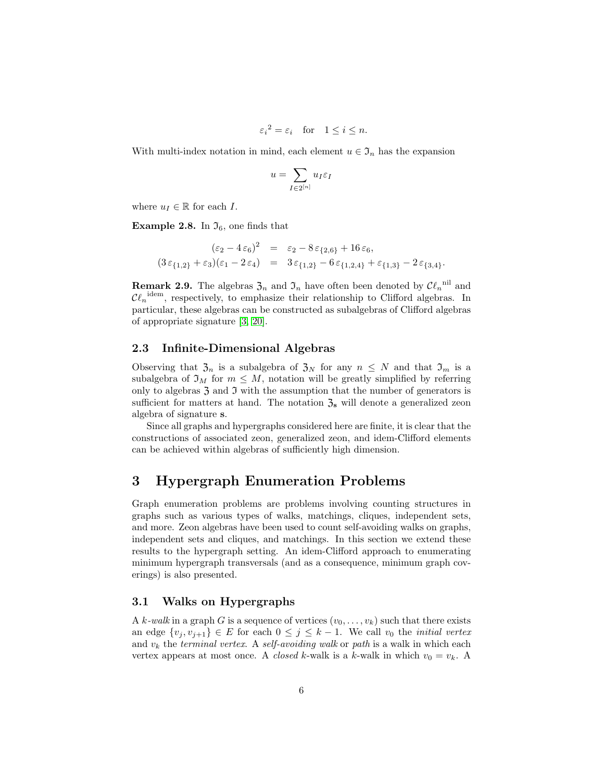$$
\varepsilon_i^2 = \varepsilon_i
$$
 for  $1 \le i \le n$ .

With multi-index notation in mind, each element  $u \in \mathfrak{I}_n$  has the expansion

$$
u = \sum_{I \in 2^{[n]}} u_I \varepsilon_I
$$

where  $u_I \in \mathbb{R}$  for each I.

**Example 2.8.** In  $\mathfrak{I}_6$ , one finds that

$$
(\varepsilon_2 - 4\varepsilon_6)^2 = \varepsilon_2 - 8\varepsilon_{\{2,6\}} + 16\varepsilon_6, (3\varepsilon_{\{1,2\}} + \varepsilon_3)(\varepsilon_1 - 2\varepsilon_4) = 3\varepsilon_{\{1,2\}} - 6\varepsilon_{\{1,2,4\}} + \varepsilon_{\{1,3\}} - 2\varepsilon_{\{3,4\}}.
$$

**Remark 2.9.** The algebras  $\mathfrak{Z}_n$  and  $\mathfrak{I}_n$  have often been denoted by  $\mathcal{Cl}_n$ <sup>nil</sup> and  $\mathcal{C}\ell_n^{\text{idem}}$ , respectively, to emphasize their relationship to Clifford algebras. In particular, these algebras can be constructed as subalgebras of Clifford algebras of appropriate signature [\[3,](#page-20-7) [20\]](#page-21-6).

### 2.3 Infinite-Dimensional Algebras

Observing that  $\mathfrak{Z}_n$  is a subalgebra of  $\mathfrak{Z}_N$  for any  $n \leq N$  and that  $\mathfrak{I}_m$  is a subalgebra of  $\mathfrak{I}_M$  for  $m \leq M$ , notation will be greatly simplified by referring only to algebras  $\mathfrak z$  and  $\mathfrak I$  with the assumption that the number of generators is sufficient for matters at hand. The notation  $\mathfrak{Z}_s$  will denote a generalized zeon algebra of signature s.

Since all graphs and hypergraphs considered here are finite, it is clear that the constructions of associated zeon, generalized zeon, and idem-Clifford elements can be achieved within algebras of sufficiently high dimension.

# <span id="page-5-0"></span>3 Hypergraph Enumeration Problems

Graph enumeration problems are problems involving counting structures in graphs such as various types of walks, matchings, cliques, independent sets, and more. Zeon algebras have been used to count self-avoiding walks on graphs, independent sets and cliques, and matchings. In this section we extend these results to the hypergraph setting. An idem-Clifford approach to enumerating minimum hypergraph transversals (and as a consequence, minimum graph coverings) is also presented.

#### 3.1 Walks on Hypergraphs

A k-walk in a graph G is a sequence of vertices  $(v_0, \ldots, v_k)$  such that there exists an edge  $\{v_i, v_{i+1}\} \in E$  for each  $0 \leq j \leq k-1$ . We call  $v_0$  the *initial vertex* and  $v_k$  the terminal vertex. A self-avoiding walk or path is a walk in which each vertex appears at most once. A *closed k*-walk is a k-walk in which  $v_0 = v_k$ . A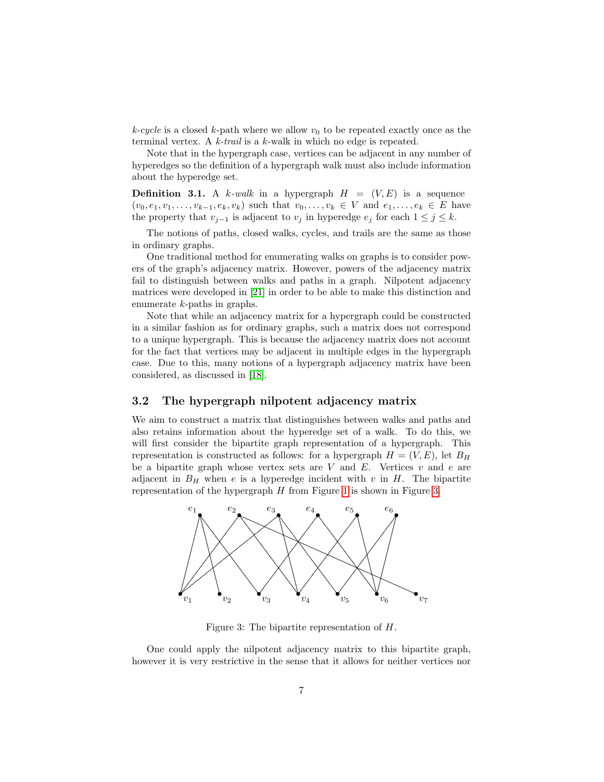$k$ -cycle is a closed  $k$ -path where we allow  $v_0$  to be repeated exactly once as the terminal vertex. A k-trail is a k-walk in which no edge is repeated.

Note that in the hypergraph case, vertices can be adjacent in any number of hyperedges so the definition of a hypergraph walk must also include information about the hyperedge set.

**Definition 3.1.** A k-walk in a hypergraph  $H = (V, E)$  is a sequence  $(v_0, e_1, v_1, \ldots, v_{k-1}, e_k, v_k)$  such that  $v_0, \ldots, v_k \in V$  and  $e_1, \ldots, e_k \in E$  have the property that  $v_{j-1}$  is adjacent to  $v_j$  in hyperedge  $e_j$  for each  $1 \leq j \leq k$ .

The notions of paths, closed walks, cycles, and trails are the same as those in ordinary graphs.

One traditional method for enumerating walks on graphs is to consider powers of the graph's adjacency matrix. However, powers of the adjacency matrix fail to distinguish between walks and paths in a graph. Nilpotent adjacency matrices were developed in [\[21\]](#page-21-3) in order to be able to make this distinction and enumerate k-paths in graphs.

Note that while an adjacency matrix for a hypergraph could be constructed in a similar fashion as for ordinary graphs, such a matrix does not correspond to a unique hypergraph. This is because the adjacency matrix does not account for the fact that vertices may be adjacent in multiple edges in the hypergraph case. Due to this, many notions of a hypergraph adjacency matrix have been considered, as discussed in [\[18\]](#page-21-7).

### 3.2 The hypergraph nilpotent adjacency matrix

We aim to construct a matrix that distinguishes between walks and paths and also retains information about the hyperedge set of a walk. To do this, we will first consider the bipartite graph representation of a hypergraph. This representation is constructed as follows: for a hypergraph  $H = (V, E)$ , let  $B_H$ be a bipartite graph whose vertex sets are  $V$  and  $E$ . Vertices  $v$  and  $e$  are adjacent in  $B_H$  when e is a hyperedge incident with v in H. The bipartite representation of the hypergraph  $H$  from Figure [1](#page-2-0) is shown in Figure [3.](#page-6-0)



<span id="page-6-0"></span>Figure 3: The bipartite representation of H.

One could apply the nilpotent adjacency matrix to this bipartite graph, however it is very restrictive in the sense that it allows for neither vertices nor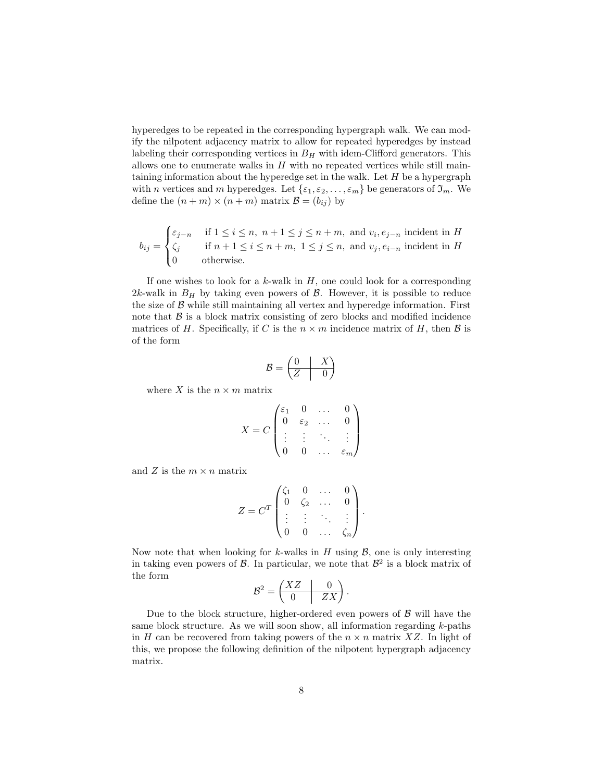hyperedges to be repeated in the corresponding hypergraph walk. We can modify the nilpotent adjacency matrix to allow for repeated hyperedges by instead labeling their corresponding vertices in  $B<sub>H</sub>$  with idem-Clifford generators. This allows one to enumerate walks in  $H$  with no repeated vertices while still maintaining information about the hyperedge set in the walk. Let  $H$  be a hypergraph with n vertices and m hyperedges. Let  $\{\varepsilon_1, \varepsilon_2, \ldots, \varepsilon_m\}$  be generators of  $\mathfrak{I}_m$ . We define the  $(n + m) \times (n + m)$  matrix  $\mathcal{B} = (b_{ij})$  by

$$
b_{ij} = \begin{cases} \varepsilon_{j-n} & \text{if } 1 \le i \le n, \ n+1 \le j \le n+m, \text{ and } v_i, e_{j-n} \text{ incident in } H \\ \zeta_j & \text{if } n+1 \le i \le n+m, \ 1 \le j \le n, \text{ and } v_j, e_{i-n} \text{ incident in } H \\ 0 & \text{otherwise.} \end{cases}
$$

If one wishes to look for a  $k$ -walk in  $H$ , one could look for a corresponding 2k-walk in  $B_H$  by taking even powers of  $\beta$ . However, it is possible to reduce the size of  $\beta$  while still maintaining all vertex and hyperedge information. First note that  $\beta$  is a block matrix consisting of zero blocks and modified incidence matrices of H. Specifically, if C is the  $n \times m$  incidence matrix of H, then B is of the form

$$
\mathcal{B} = \begin{pmatrix} 0 & X \\ Z & 0 \end{pmatrix}
$$

where X is the  $n \times m$  matrix

$$
X = C \begin{pmatrix} \varepsilon_1 & 0 & \dots & 0 \\ 0 & \varepsilon_2 & \dots & 0 \\ \vdots & \vdots & \ddots & \vdots \\ 0 & 0 & \dots & \varepsilon_m \end{pmatrix}
$$

and Z is the  $m \times n$  matrix

$$
Z = CT \begin{pmatrix} \zeta_1 & 0 & \dots & 0 \\ 0 & \zeta_2 & \dots & 0 \\ \vdots & \vdots & \ddots & \vdots \\ 0 & 0 & \dots & \zeta_n \end{pmatrix}.
$$

Now note that when looking for k-walks in H using  $\mathcal{B}$ , one is only interesting in taking even powers of  $\mathcal{B}$ . In particular, we note that  $\mathcal{B}^2$  is a block matrix of the form

$$
\mathcal{B}^2 = \begin{pmatrix} XZ & 0 \\ 0 & ZX \end{pmatrix}.
$$

Due to the block structure, higher-ordered even powers of  $\beta$  will have the same block structure. As we will soon show, all information regarding  $k$ -paths in H can be recovered from taking powers of the  $n \times n$  matrix XZ. In light of this, we propose the following definition of the nilpotent hypergraph adjacency matrix.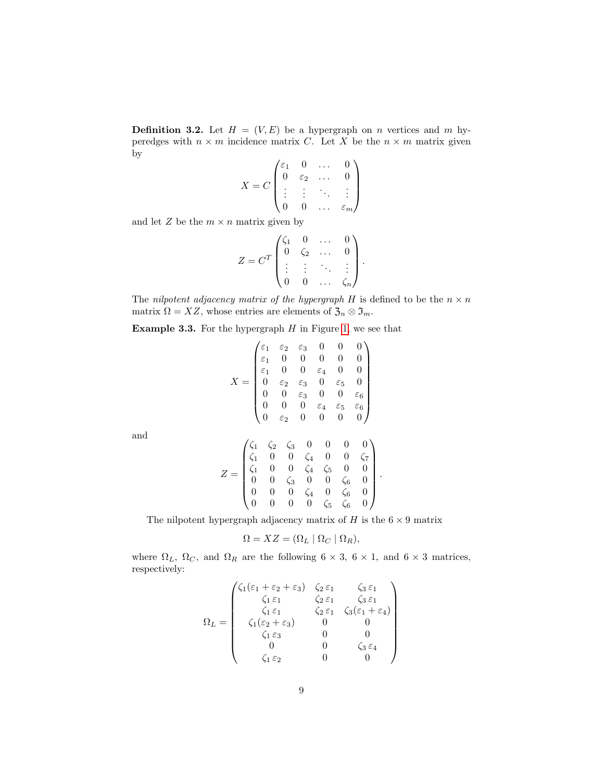**Definition 3.2.** Let  $H = (V, E)$  be a hypergraph on n vertices and m hyperedges with  $n \times m$  incidence matrix C. Let X be the  $n \times m$  matrix given by

$$
X = C \begin{pmatrix} \varepsilon_1 & 0 & \dots & 0 \\ 0 & \varepsilon_2 & \dots & 0 \\ \vdots & \vdots & \ddots & \vdots \\ 0 & 0 & \dots & \varepsilon_m \end{pmatrix}
$$

and let  $Z$  be the  $m \times n$  matrix given by

$$
Z = CT \begin{pmatrix} \zeta_1 & 0 & \dots & 0 \\ 0 & \zeta_2 & \dots & 0 \\ \vdots & \vdots & \ddots & \vdots \\ 0 & 0 & \dots & \zeta_n \end{pmatrix}
$$

.

.

The nilpotent adjacency matrix of the hypergraph H is defined to be the  $n \times n$ matrix  $\Omega = XZ$ , whose entries are elements of  $\mathfrak{Z}_n \otimes \mathfrak{I}_m$ .

**Example 3.3.** For the hypergraph  $H$  in Figure [1,](#page-2-0) we see that

$$
X = \begin{pmatrix} \varepsilon_1 & \varepsilon_2 & \varepsilon_3 & 0 & 0 & 0 \\ \varepsilon_1 & 0 & 0 & 0 & 0 & 0 \\ \varepsilon_1 & 0 & 0 & \varepsilon_4 & 0 & 0 \\ 0 & \varepsilon_2 & \varepsilon_3 & 0 & \varepsilon_5 & 0 \\ 0 & 0 & \varepsilon_3 & 0 & 0 & \varepsilon_6 \\ 0 & 0 & 0 & \varepsilon_4 & \varepsilon_5 & \varepsilon_6 \\ 0 & \varepsilon_2 & 0 & 0 & 0 & 0 \end{pmatrix}
$$

and

$$
Z = \begin{pmatrix} \zeta_1 & \zeta_2 & \zeta_3 & 0 & 0 & 0 & 0 \\ \zeta_1 & 0 & 0 & \zeta_4 & 0 & 0 & \zeta_7 \\ \zeta_1 & 0 & 0 & \zeta_4 & \zeta_5 & 0 & 0 \\ 0 & 0 & \zeta_3 & 0 & 0 & \zeta_6 & 0 \\ 0 & 0 & 0 & \zeta_4 & 0 & \zeta_6 & 0 \\ 0 & 0 & 0 & 0 & \zeta_5 & \zeta_6 & 0 \end{pmatrix}
$$

The nilpotent hypergraph adjacency matrix of  $H$  is the  $6 \times 9$  matrix

$$
\Omega = XZ = (\Omega_L \mid \Omega_C \mid \Omega_R),
$$

where  $\Omega_L$ ,  $\Omega_C$ , and  $\Omega_R$  are the following  $6 \times 3$ ,  $6 \times 1$ , and  $6 \times 3$  matrices, respectively:

$$
\Omega_L = \begin{pmatrix}\n\zeta_1(\varepsilon_1 + \varepsilon_2 + \varepsilon_3) & \zeta_2 \varepsilon_1 & \zeta_3 \varepsilon_1 \\
\zeta_1 \varepsilon_1 & \zeta_2 \varepsilon_1 & \zeta_3 \varepsilon_1 \\
\zeta_1 \varepsilon_1 & \zeta_2 \varepsilon_1 & \zeta_3 (\varepsilon_1 + \varepsilon_4) \\
\zeta_1(\varepsilon_2 + \varepsilon_3) & 0 & 0 \\
\zeta_1 \varepsilon_3 & 0 & 0 \\
0 & 0 & \zeta_3 \varepsilon_4 \\
\zeta_1 \varepsilon_2 & 0 & 0\n\end{pmatrix}
$$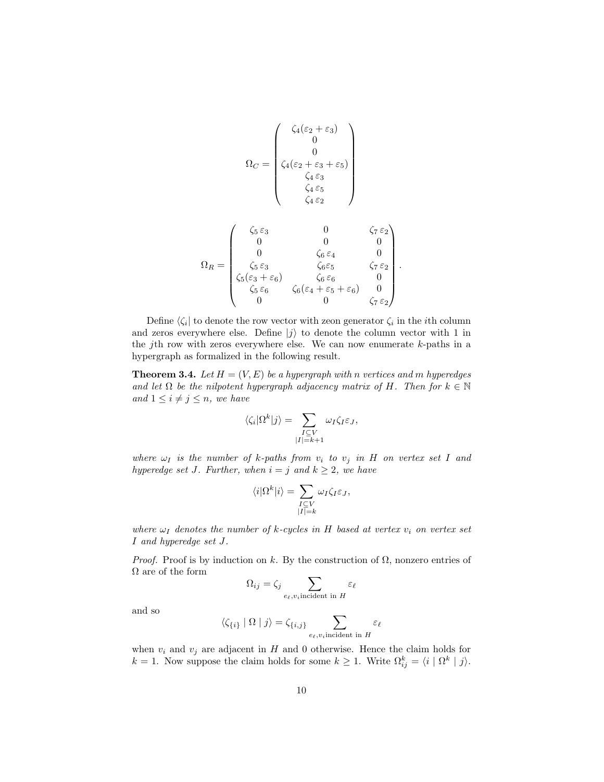$$
\Omega_C = \begin{pmatrix}\n\zeta_4(\varepsilon_2 + \varepsilon_3) \\
0 \\
0 \\
\zeta_4(\varepsilon_2 + \varepsilon_3 + \varepsilon_5) \\
\zeta_4 \varepsilon_3 \\
\zeta_4 \varepsilon_5 \\
\zeta_4 \varepsilon_2\n\end{pmatrix}
$$
\n
$$
\Omega_R = \begin{pmatrix}\n\zeta_5 \varepsilon_3 & 0 & \zeta_7 \varepsilon_2 \\
0 & 0 & 0 \\
0 & \zeta_6 \varepsilon_4 & 0 \\
0 & \zeta_6 \varepsilon_5 & \zeta_7 \varepsilon_2 \\
\zeta_5(\varepsilon_3 + \varepsilon_6) & \zeta_6 \varepsilon_6 & 0 \\
\zeta_5 \varepsilon_6 & \zeta_6(\varepsilon_4 + \varepsilon_5 + \varepsilon_6) & 0 \\
0 & 0 & \zeta_7 \varepsilon_2\n\end{pmatrix}.
$$

Define  $\langle \zeta_i |$  to denote the row vector with zeon generator  $\zeta_i$  in the *i*th column and zeros everywhere else. Define  $|j\rangle$  to denote the column vector with 1 in the *j*th row with zeros everywhere else. We can now enumerate  $k$ -paths in a hypergraph as formalized in the following result.

**Theorem 3.4.** Let  $H = (V, E)$  be a hypergraph with n vertices and m hyperedges and let  $\Omega$  be the nilpotent hypergraph adjacency matrix of H. Then for  $k \in \mathbb{N}$ and  $1 \leq i \neq j \leq n$ , we have

$$
\langle \zeta_i | \Omega^k | j \rangle = \sum_{\substack{I \subseteq V \\ |I| = k+1}} \omega_I \zeta_I \varepsilon_J,
$$

where  $\omega_I$  is the number of k-paths from  $v_i$  to  $v_j$  in H on vertex set I and hyperedge set J. Further, when  $i = j$  and  $k \geq 2$ , we have

$$
\langle i | \Omega^k | i \rangle = \sum_{\substack{I \subseteq V \\ |I| = k}} \omega_I \zeta_I \varepsilon_J,
$$

where  $\omega_I$  denotes the number of k-cycles in H based at vertex  $v_i$  on vertex set I and hyperedge set J.

*Proof.* Proof is by induction on k. By the construction of  $\Omega$ , nonzero entries of  $\Omega$  are of the form

$$
\Omega_{ij} = \zeta_j \sum_{e_{\ell}, v_i \text{incident in } H} \varepsilon_{\ell}
$$

and so

$$
\langle \zeta_{\{i\}} \mid \Omega \mid j \rangle = \zeta_{\{i,j\}} \sum_{e_{\ell}, v_i \text{incident in } H} \varepsilon_{\ell}
$$

when  $v_i$  and  $v_j$  are adjacent in H and 0 otherwise. Hence the claim holds for  $k = 1$ . Now suppose the claim holds for some  $k \geq 1$ . Write  $\Omega_{ij}^k = \langle i | \Omega^k | j \rangle$ .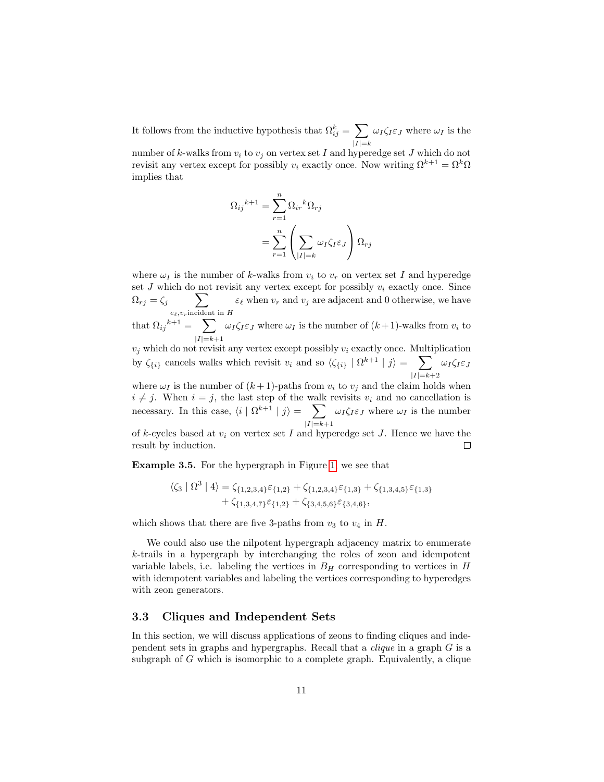It follows from the inductive hypothesis that  $\Omega_{ij}^k = \sum$  $|I|=k$  $\omega_I \zeta_I \varepsilon_J$  where  $\omega_I$  is the

number of k-walks from  $v_i$  to  $v_j$  on vertex set I and hyperedge set J which do not revisit any vertex except for possibly  $v_i$  exactly once. Now writing  $\Omega^{k+1} = \Omega^k \Omega$ implies that

$$
\Omega_{ij}{}^{k+1} = \sum_{r=1}^{n} \Omega_{ir}{}^{k} \Omega_{rj}
$$

$$
= \sum_{r=1}^{n} \left( \sum_{|I|=k} \omega_{I} \zeta_{I} \varepsilon_{J} \right) \Omega_{rj}
$$

where  $\omega_I$  is the number of k-walks from  $v_i$  to  $v_r$  on vertex set I and hyperedge set  $J$  which do not revisit any vertex except for possibly  $v_i$  exactly once. Since  $\Omega_{rj} = \zeta_j \qquad \sum$  $e_{\ell}, v_r$ incident in H  $\varepsilon_\ell$  when  $v_r$  and  $v_j$  are adjacent and 0 otherwise, we have

that  $\Omega_{ij}{}^{k+1} = \sum$  $|I|=k+1$  $\omega_I \zeta_I \varepsilon_J$  where  $\omega_I$  is the number of  $(k+1)$ -walks from  $v_i$  to

 $v_j$  which do not revisit any vertex except possibly  $v_i$  exactly once. Multiplication by  $\zeta_{\{i\}}$  cancels walks which revisit  $v_i$  and so  $\langle \zeta_{\{i\}} | \Omega^{k+1} | j \rangle = \sum$  $|I|=k+2$  $\omega_I \zeta_I \varepsilon_J$ 

where  $\omega_I$  is the number of  $(k+1)$ -paths from  $v_i$  to  $v_j$  and the claim holds when  $i \neq j$ . When  $i = j$ , the last step of the walk revisits  $v_i$  and no cancellation is necessary. In this case,  $\langle i | \Omega^{k+1} | j \rangle = \sum$  $|I|=k+1$  $\omega_I \zeta_I \varepsilon_J$  where  $\omega_I$  is the number

of k-cycles based at  $v_i$  on vertex set I and hyperedge set J. Hence we have the result by induction.  $\Box$ 

Example 3.5. For the hypergraph in Figure [1,](#page-2-0) we see that

$$
\begin{aligned} \langle \zeta_3 | \Omega^3 | 4 \rangle &= \zeta_{\{1,2,3,4\}} \varepsilon_{\{1,2\}} + \zeta_{\{1,2,3,4\}} \varepsilon_{\{1,3\}} + \zeta_{\{1,3,4,5\}} \varepsilon_{\{1,3\}} \\ &+ \zeta_{\{1,3,4,7\}} \varepsilon_{\{1,2\}} + \zeta_{\{3,4,5,6\}} \varepsilon_{\{3,4,6\}}, \end{aligned}
$$

which shows that there are five 3-paths from  $v_3$  to  $v_4$  in H.

We could also use the nilpotent hypergraph adjacency matrix to enumerate k-trails in a hypergraph by interchanging the roles of zeon and idempotent variable labels, i.e. labeling the vertices in  $B<sub>H</sub>$  corresponding to vertices in H with idempotent variables and labeling the vertices corresponding to hyperedges with zeon generators.

### 3.3 Cliques and Independent Sets

In this section, we will discuss applications of zeons to finding cliques and independent sets in graphs and hypergraphs. Recall that a clique in a graph G is a subgraph of  $G$  which is isomorphic to a complete graph. Equivalently, a clique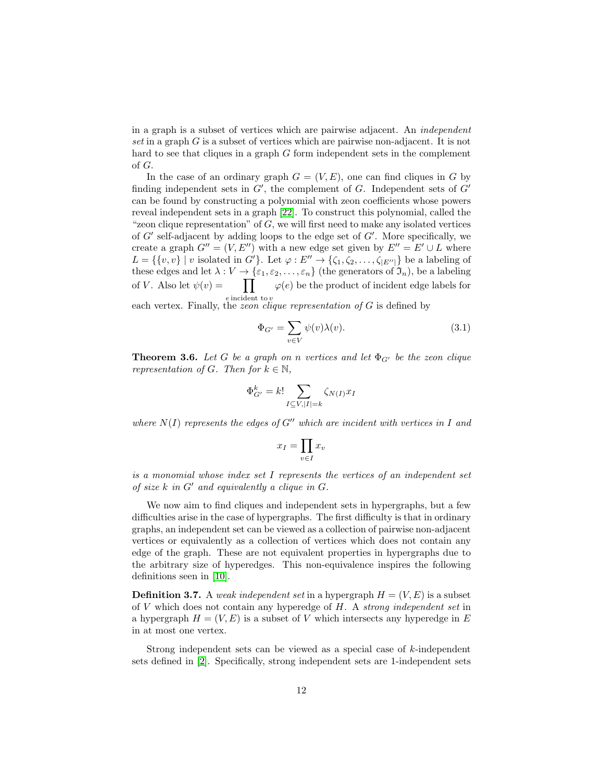in a graph is a subset of vertices which are pairwise adjacent. An independent set in a graph G is a subset of vertices which are pairwise non-adjacent. It is not hard to see that cliques in a graph G form independent sets in the complement of G.

In the case of an ordinary graph  $G = (V, E)$ , one can find cliques in G by finding independent sets in  $G'$ , the complement of  $G$ . Independent sets of  $G'$ can be found by constructing a polynomial with zeon coefficients whose powers reveal independent sets in a graph [\[22\]](#page-21-4). To construct this polynomial, called the "zeon clique representation" of  $G$ , we will first need to make any isolated vertices of  $G'$  self-adjacent by adding loops to the edge set of  $G'$ . More specifically, we create a graph  $G'' = (V, E'')$  with a new edge set given by  $E'' = E' \cup L$  where  $L = \{\{v, v\} \mid v \text{ isolated in } G'\}.$  Let  $\varphi : E'' \to \{\zeta_1, \zeta_2, \ldots, \zeta_{|E''|}\}\$ be a labeling of these edges and let  $\lambda: V \to {\varepsilon_1, \varepsilon_2, ..., \varepsilon_n}$  (the generators of  $\mathfrak{I}_n$ ), be a labeling of *V*. Also let  $\psi(v) = \prod$  $\varphi(e)$  be the product of incident edge labels for

e incident to v<br>each vertex. Finally, the *zeon clique representation of* G is defined by

$$
\Phi_{G'} = \sum_{v \in V} \psi(v) \lambda(v). \tag{3.1}
$$

<span id="page-11-0"></span>**Theorem 3.6.** Let G be a graph on n vertices and let  $\Phi_{G'}$  be the zeon clique representation of G. Then for  $k \in \mathbb{N}$ ,

$$
\Phi_{G'}^k = k! \sum_{I \subseteq V, |I| = k} \zeta_{N(I)} x_I
$$

where  $N(I)$  represents the edges of  $G''$  which are incident with vertices in I and

$$
x_I = \prod_{v \in I} x_v
$$

is a monomial whose index set I represents the vertices of an independent set of size  $k$  in  $G'$  and equivalently a clique in  $G$ .

We now aim to find cliques and independent sets in hypergraphs, but a few difficulties arise in the case of hypergraphs. The first difficulty is that in ordinary graphs, an independent set can be viewed as a collection of pairwise non-adjacent vertices or equivalently as a collection of vertices which does not contain any edge of the graph. These are not equivalent properties in hypergraphs due to the arbitrary size of hyperedges. This non-equivalence inspires the following definitions seen in [\[10\]](#page-20-8).

**Definition 3.7.** A weak independent set in a hypergraph  $H = (V, E)$  is a subset of  $V$  which does not contain any hyperedge of  $H$ . A strong independent set in a hypergraph  $H = (V, E)$  is a subset of V which intersects any hyperedge in E in at most one vertex.

Strong independent sets can be viewed as a special case of  $k$ -independent sets defined in [\[2\]](#page-19-2). Specifically, strong independent sets are 1-independent sets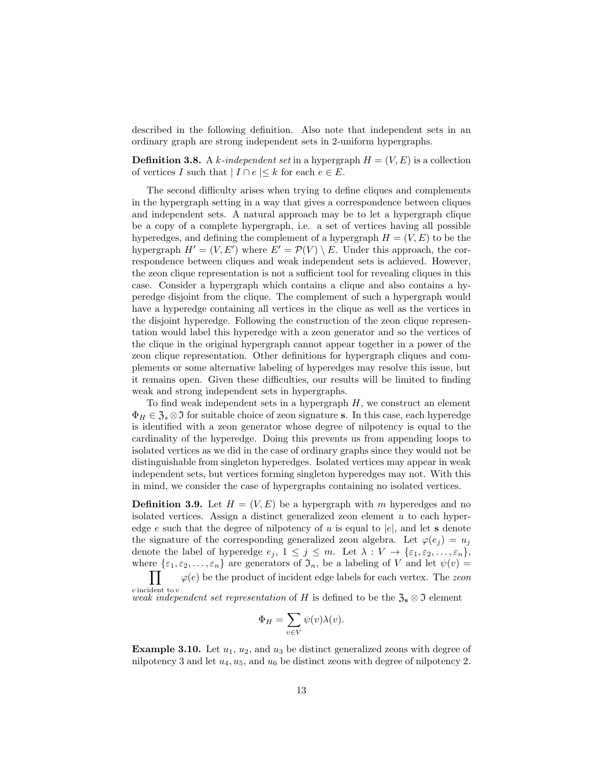described in the following definition. Also note that independent sets in an ordinary graph are strong independent sets in 2-uniform hypergraphs.

**Definition 3.8.** A k-independent set in a hypergraph  $H = (V, E)$  is a collection of vertices I such that  $|I \cap e| \leq k$  for each  $e \in E$ .

The second difficulty arises when trying to define cliques and complements in the hypergraph setting in a way that gives a correspondence between cliques and independent sets. A natural approach may be to let a hypergraph clique be a copy of a complete hypergraph, i.e. a set of vertices having all possible hyperedges, and defining the complement of a hypergraph  $H = (V, E)$  to be the hypergraph  $H' = (V, E')$  where  $E' = \mathcal{P}(V) \setminus E$ . Under this approach, the correspondence between cliques and weak independent sets is achieved. However, the zeon clique representation is not a sufficient tool for revealing cliques in this case. Consider a hypergraph which contains a clique and also contains a hyperedge disjoint from the clique. The complement of such a hypergraph would have a hyperedge containing all vertices in the clique as well as the vertices in the disjoint hyperedge. Following the construction of the zeon clique representation would label this hyperedge with a zeon generator and so the vertices of the clique in the original hypergraph cannot appear together in a power of the zeon clique representation. Other definitions for hypergraph cliques and complements or some alternative labeling of hyperedges may resolve this issue, but it remains open. Given these difficulties, our results will be limited to finding weak and strong independent sets in hypergraphs.

To find weak independent sets in a hypergraph  $H$ , we construct an element  $\Phi_H \in \mathfrak{Z}_s \otimes \mathfrak{I}$  for suitable choice of zeon signature s. In this case, each hyperedge is identified with a zeon generator whose degree of nilpotency is equal to the cardinality of the hyperedge. Doing this prevents us from appending loops to isolated vertices as we did in the case of ordinary graphs since they would not be distinguishable from singleton hyperedges. Isolated vertices may appear in weak independent sets, but vertices forming singleton hyperedges may not. With this in mind, we consider the case of hypergraphs containing no isolated vertices.

**Definition 3.9.** Let  $H = (V, E)$  be a hypergraph with m hyperedges and no isolated vertices. Assign a distinct generalized zeon element  $u$  to each hyperedge e such that the degree of nilpotency of u is equal to  $|e|$ , and let s denote the signature of the corresponding generalized zeon algebra. Let  $\varphi(e_i) = u_i$ denote the label of hyperedge  $e_j$ ,  $1 \leq j \leq m$ . Let  $\lambda : V \to \{\varepsilon_1, \varepsilon_2, \ldots, \varepsilon_n\},$ where  $\{\varepsilon_1, \varepsilon_2, \ldots, \varepsilon_n\}$  are generators of  $\mathfrak{I}_n$ , be a labeling of V and let  $\psi(v) =$ 

 $\prod$ e incident to v  $\varphi(e)$  be the product of incident edge labels for each vertex. The zeon

weak independent set representation of H is defined to be the  $\mathfrak{Z}_s \otimes \mathfrak{I}$  element

$$
\Phi_H = \sum_{v \in V} \psi(v) \lambda(v).
$$

**Example 3.10.** Let  $u_1, u_2,$  and  $u_3$  be distinct generalized zeons with degree of nilpotency 3 and let  $u_4$ ,  $u_5$ , and  $u_6$  be distinct zeons with degree of nilpotency 2.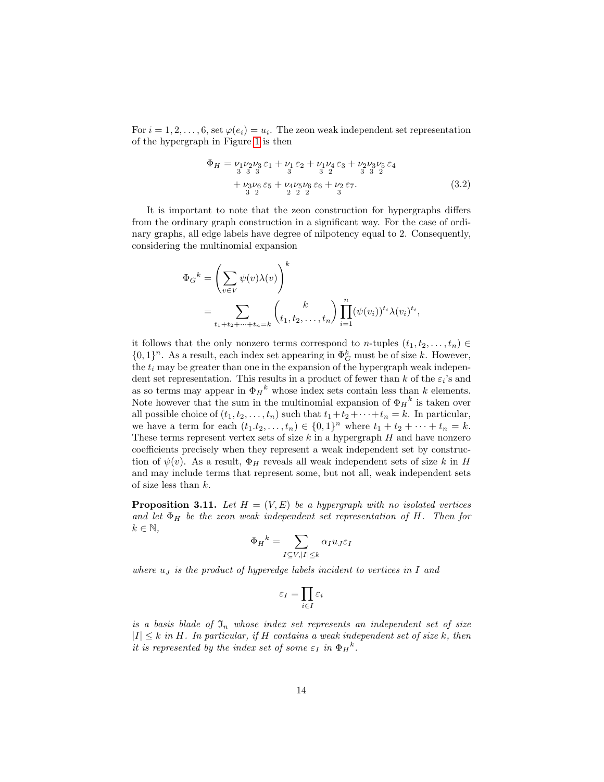For  $i = 1, 2, \ldots, 6$ , set  $\varphi(e_i) = u_i$ . The zeon weak independent set representation of the hypergraph in Figure [1](#page-2-0) is then

<span id="page-13-0"></span>
$$
\Phi_H = \nu_1 \nu_2 \nu_3 \varepsilon_1 + \nu_1 \varepsilon_2 + \nu_1 \nu_4 \varepsilon_3 + \nu_2 \nu_3 \nu_5 \varepsilon_4 \n+ \nu_3 \nu_6 \varepsilon_5 + \nu_4 \nu_5 \nu_6 \varepsilon_6 + \nu_2 \varepsilon_7 \n\frac{3}{2} \frac{2}{2} \frac{2}{2} \frac{2}{2} \frac{2}{3}
$$
\n(3.2)

It is important to note that the zeon construction for hypergraphs differs from the ordinary graph construction in a significant way. For the case of ordinary graphs, all edge labels have degree of nilpotency equal to 2. Consequently, considering the multinomial expansion

$$
\Phi_G{}^k = \left(\sum_{v \in V} \psi(v)\lambda(v)\right)^k
$$
  
= 
$$
\sum_{t_1+t_2+\cdots+t_n=k} {k \choose t_1, t_2, \ldots, t_n} \prod_{i=1}^n (\psi(v_i))^{t_i} \lambda(v_i)^{t_i},
$$

it follows that the only nonzero terms correspond to n-tuples  $(t_1, t_2, \ldots, t_n) \in$  $\{0,1\}^n$ . As a result, each index set appearing in  $\Phi_G^k$  must be of size k. However, the  $t_i$  may be greater than one in the expansion of the hypergraph weak independent set representation. This results in a product of fewer than k of the  $\varepsilon_i$ 's and as so terms may appear in  $\Phi_H^k$  whose index sets contain less than k elements. Note however that the sum in the multinomial expansion of  $\Phi_H{}^k$  is taken over all possible choice of  $(t_1, t_2, \ldots, t_n)$  such that  $t_1+t_2+\cdots+t_n = k$ . In particular, we have a term for each  $(t_1.t_2,...,t_n) \in \{0,1\}^n$  where  $t_1 + t_2 + \cdots + t_n = k$ . These terms represent vertex sets of size  $k$  in a hypergraph  $H$  and have nonzero coefficients precisely when they represent a weak independent set by construction of  $\psi(v)$ . As a result,  $\Phi_H$  reveals all weak independent sets of size k in H and may include terms that represent some, but not all, weak independent sets of size less than  $k$ .

<span id="page-13-1"></span>**Proposition 3.11.** Let  $H = (V, E)$  be a hypergraph with no isolated vertices and let  $\Phi_H$  be the zeon weak independent set representation of H. Then for  $k \in \mathbb{N}$ ,

$$
\Phi_H{}^k = \sum_{I \subseteq V, |I| \le k} \alpha_I u_J \varepsilon_I
$$

where  $u_J$  is the product of hyperedge labels incident to vertices in I and

$$
\varepsilon_I = \prod_{i \in I} \varepsilon_i
$$

is a basis blade of  $\mathfrak{I}_n$  whose index set represents an independent set of size  $|I| \leq k$  in H. In particular, if H contains a weak independent set of size k, then it is represented by the index set of some  $\varepsilon_I$  in  $\Phi_H^k$ .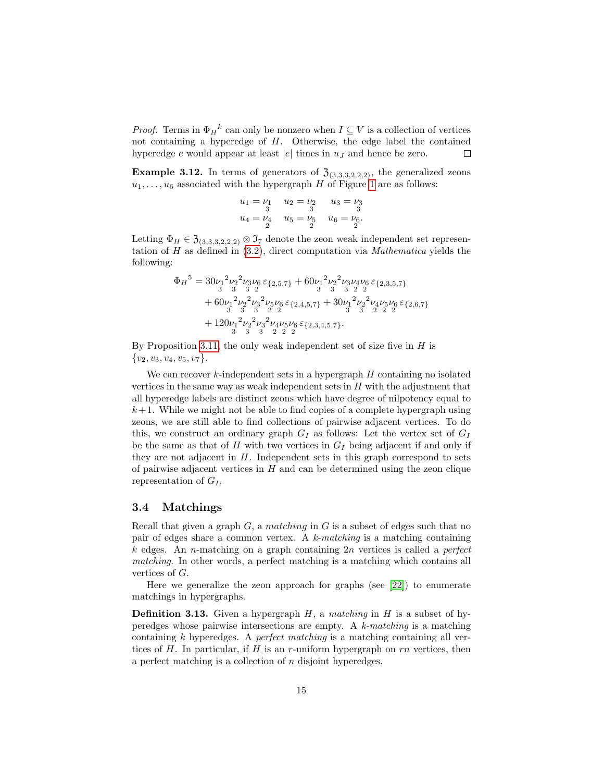*Proof.* Terms in  $\Phi_H^k$  can only be nonzero when  $I \subseteq V$  is a collection of vertices not containing a hyperedge of H. Otherwise, the edge label the contained hyperedge e would appear at least  $|e|$  times in  $u_j$  and hence be zero.  $\Box$ 

**Example 3.12.** In terms of generators of  $\mathfrak{Z}_{(3,3,3,2,2,2)}$ , the generalized zeons  $u_1, \ldots, u_6$  associated with the hypergraph H of Figure [1](#page-2-0) are as follows:

$$
u_1 = \nu_1 \n u_2 = \nu_2 \n u_3 = \nu_3
$$
  
\n
$$
u_4 = \nu_4 \n u_5 = \nu_5 \n u_6 = \nu_6
$$
  
\n
$$
u_2 = \nu_2 \n u_3 = \nu_3
$$

Letting  $\Phi_H \in \mathfrak{Z}_{(3,3,3,2,2,2)} \otimes \mathfrak{I}_7$  denote the zeon weak independent set representation of H as defined in  $(3.2)$ , direct computation via *Mathematica* yields the following:

$$
\begin{aligned} \Phi_H{}^5 &= 30\nu_1{}^2\nu_2{}^2\nu_3\nu_6\,\varepsilon_{\{2,5,7\}} + 60\nu_1{}^2\nu_2{}^2\nu_3\nu_4\nu_6\,\varepsilon_{\{2,3,5,7\}} \\ &+ 60\nu_1{}^2\nu_2{}^2\nu_3{}^2\nu_5\nu_6\,\varepsilon_{\{2,4,5,7\}} + 30\nu_1{}^2\nu_2{}^2\nu_4\nu_5\nu_6\,\varepsilon_{\{2,6,7\}} \\ &+ 120\nu_1{}^2\nu_2{}^2\nu_3{}^2\nu_4\nu_5\nu_6\,\varepsilon_{\{2,3,4,5,7\}} \\ &+ 120\nu_1{}^2\nu_2{}^2\nu_3{}^2\nu_4\nu_5\nu_6\,\varepsilon_{\{2,3,4,5,7\}}. \end{aligned}
$$

By Proposition [3.11,](#page-13-1) the only weak independent set of size five in  $H$  is  $\{v_2, v_3, v_4, v_5, v_7\}.$ 

We can recover  $k$ -independent sets in a hypergraph  $H$  containing no isolated vertices in the same way as weak independent sets in  $H$  with the adjustment that all hyperedge labels are distinct zeons which have degree of nilpotency equal to  $k+1$ . While we might not be able to find copies of a complete hypergraph using zeons, we are still able to find collections of pairwise adjacent vertices. To do this, we construct an ordinary graph  $G_I$  as follows: Let the vertex set of  $G_I$ be the same as that of H with two vertices in  $G_I$  being adjacent if and only if they are not adjacent in  $H$ . Independent sets in this graph correspond to sets of pairwise adjacent vertices in  $H$  and can be determined using the zeon clique representation of  $G_I$ .

### 3.4 Matchings

Recall that given a graph  $G$ , a matching in  $G$  is a subset of edges such that no pair of edges share a common vertex. A  $k$ -matching is a matching containing k edges. An n-matching on a graph containing  $2n$  vertices is called a *perfect* matching. In other words, a perfect matching is a matching which contains all vertices of G.

Here we generalize the zeon approach for graphs (see [\[22\]](#page-21-4)) to enumerate matchings in hypergraphs.

**Definition 3.13.** Given a hypergraph  $H$ , a matching in  $H$  is a subset of hyperedges whose pairwise intersections are empty. A  $k$ -matching is a matching containing k hyperedges. A *perfect matching* is a matching containing all vertices of H. In particular, if H is an r-uniform hypergraph on  $rn$  vertices, then a perfect matching is a collection of n disjoint hyperedges.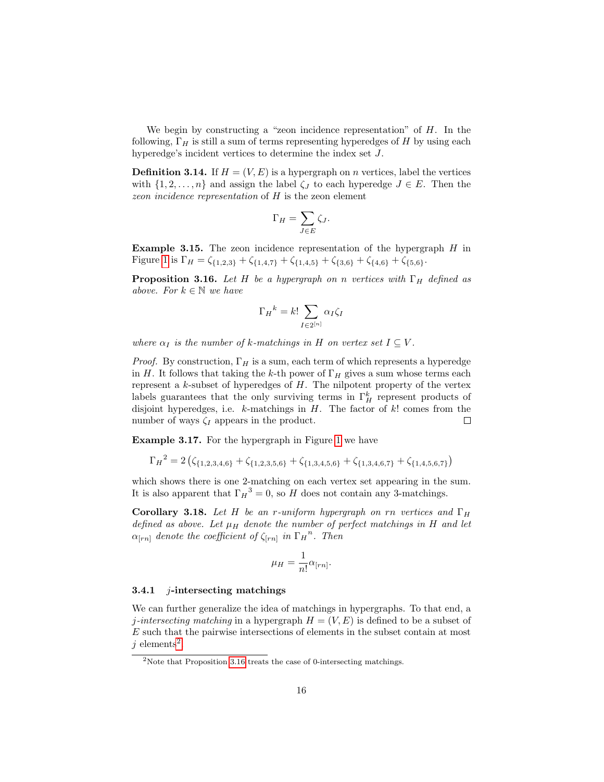We begin by constructing a "zeon incidence representation" of  $H$ . In the following,  $\Gamma_H$  is still a sum of terms representing hyperedges of H by using each hyperedge's incident vertices to determine the index set J.

<span id="page-15-2"></span>**Definition 3.14.** If  $H = (V, E)$  is a hypergraph on *n* vertices, label the vertices with  $\{1, 2, \ldots, n\}$  and assign the label  $\zeta_J$  to each hyperedge  $J \in E$ . Then the zeon incidence representation of H is the zeon element

$$
\Gamma_H = \sum_{J \in E} \zeta_J.
$$

**Example 3.15.** The zeon incidence representation of the hypergraph  $H$  in Figure [1](#page-2-0) is  $\Gamma_H = \zeta_{\{1,2,3\}} + \zeta_{\{1,4,7\}} + \zeta_{\{1,4,5\}} + \zeta_{\{3,6\}} + \zeta_{\{4,6\}} + \zeta_{\{5,6\}}.$ 

<span id="page-15-1"></span>**Proposition 3.16.** Let H be a hypergraph on n vertices with  $\Gamma_H$  defined as above. For  $k \in \mathbb{N}$  we have

$$
\Gamma_H{}^k = k! \sum_{I \in 2^{[n]}} \alpha_I \zeta_I
$$

where  $\alpha_I$  is the number of k-matchings in H on vertex set  $I \subseteq V$ .

*Proof.* By construction,  $\Gamma_H$  is a sum, each term of which represents a hyperedge in H. It follows that taking the k-th power of  $\Gamma_H$  gives a sum whose terms each represent a  $k$ -subset of hyperedges of  $H$ . The nilpotent property of the vertex labels guarantees that the only surviving terms in  $\Gamma_H^k$  represent products of disjoint hyperedges, i.e.  $k$ -matchings in  $H$ . The factor of  $k!$  comes from the number of ways  $\zeta_I$  appears in the product.  $\Box$ 

Example 3.17. For the hypergraph in Figure [1](#page-2-0) we have

$$
\Gamma_H{}^2 = 2 \left( \zeta_{\{1,2,3,4,6\}} + \zeta_{\{1,2,3,5,6\}} + \zeta_{\{1,3,4,5,6\}} + \zeta_{\{1,3,4,6,7\}} + \zeta_{\{1,4,5,6,7\}} \right)
$$

which shows there is one 2-matching on each vertex set appearing in the sum. It is also apparent that  $\Gamma_H^3 = 0$ , so H does not contain any 3-matchings.

Corollary 3.18. Let H be an r-uniform hypergraph on rn vertices and  $\Gamma_H$ defined as above. Let  $\mu_H$  denote the number of perfect matchings in H and let  $\alpha_{[rn]}$  denote the coefficient of  $\zeta_{[rn]}$  in  $\Gamma_H{}^n$ . Then

$$
\mu_H = \frac{1}{n!} \alpha_{[rn]}.
$$

#### 3.4.1 *j*-intersecting matchings

We can further generalize the idea of matchings in hypergraphs. To that end, a j-intersecting matching in a hypergraph  $H = (V, E)$  is defined to be a subset of E such that the pairwise intersections of elements in the subset contain at most j elements<sup>[2](#page-15-0)</sup>.

<span id="page-15-0"></span> $2$ Note that Proposition [3.16](#page-15-1) treats the case of 0-intersecting matchings.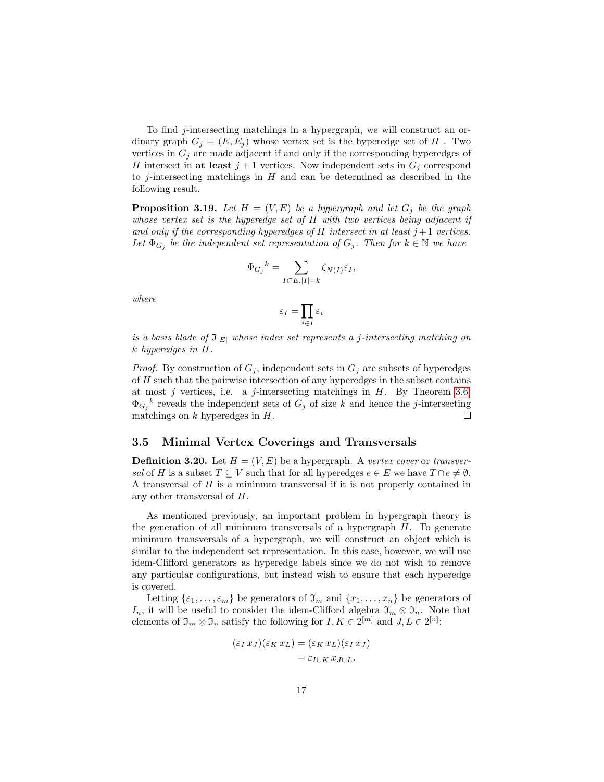To find  $j$ -intersecting matchings in a hypergraph, we will construct an ordinary graph  $G_i = (E, E_i)$  whose vertex set is the hyperedge set of H. Two vertices in  $G_j$  are made adjacent if and only if the corresponding hyperedges of H intersect in at least  $j+1$  vertices. Now independent sets in  $G_j$  correspond to j-intersecting matchings in  $H$  and can be determined as described in the following result.

**Proposition 3.19.** Let  $H = (V, E)$  be a hypergraph and let  $G_i$  be the graph whose vertex set is the hyperedge set of  $H$  with two vertices being adjacent if and only if the corresponding hyperedges of H intersect in at least  $j+1$  vertices. Let  $\Phi_{G_j}$  be the independent set representation of  $G_j$ . Then for  $k \in \mathbb{N}$  we have

$$
\Phi_{G_j}{}^k = \sum_{I\subset E, |I|=k} \zeta_{N(I)}\varepsilon_I,
$$

where

$$
\varepsilon_I = \prod_{i \in I} \varepsilon_i
$$

is a basis blade of  $\mathfrak{I}_{|E|}$  whose index set represents a j-intersecting matching on k hyperedges in H.

*Proof.* By construction of  $G_j$ , independent sets in  $G_j$  are subsets of hyperedges of  $H$  such that the pairwise intersection of any hyperedges in the subset contains at most j vertices, i.e. a j-intersecting matchings in  $H$ . By Theorem [3.6,](#page-11-0)  $\Phi_{G_j}^{\ k}$  reveals the independent sets of  $G_j$  of size k and hence the j-intersecting matchings on  $k$  hyperedges in  $H$ .  $\Box$ 

#### 3.5 Minimal Vertex Coverings and Transversals

**Definition 3.20.** Let  $H = (V, E)$  be a hypergraph. A vertex cover or transversal of H is a subset  $T \subseteq V$  such that for all hyperedges  $e \in E$  we have  $T \cap e \neq \emptyset$ . A transversal of H is a minimum transversal if it is not properly contained in any other transversal of H.

As mentioned previously, an important problem in hypergraph theory is the generation of all minimum transversals of a hypergraph  $H$ . To generate minimum transversals of a hypergraph, we will construct an object which is similar to the independent set representation. In this case, however, we will use idem-Clifford generators as hyperedge labels since we do not wish to remove any particular configurations, but instead wish to ensure that each hyperedge is covered.

Letting  $\{\varepsilon_1,\ldots,\varepsilon_m\}$  be generators of  $\mathfrak{I}_m$  and  $\{x_1,\ldots,x_n\}$  be generators of I<sub>n</sub>, it will be useful to consider the idem-Clifford algebra  $\mathfrak{I}_m \otimes \mathfrak{I}_n$ . Note that elements of  $\mathfrak{I}_m \otimes \mathfrak{I}_n$  satisfy the following for  $I, K \in 2^{[m]}$  and  $J, L \in 2^{[n]}$ :

$$
(\varepsilon_I x_J)(\varepsilon_K x_L) = (\varepsilon_K x_L)(\varepsilon_I x_J)
$$
  
=  $\varepsilon_{I \cup K} x_{J \cup L}.$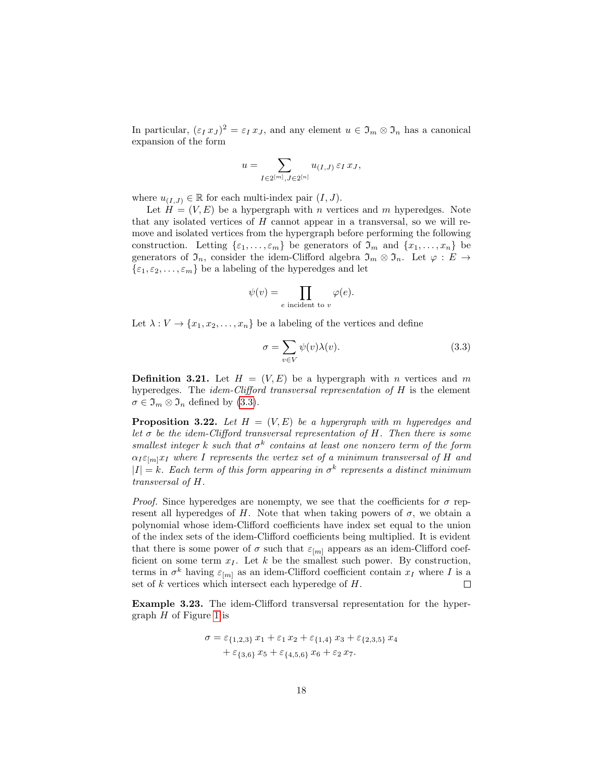In particular,  $(\varepsilon_I x_J)^2 = \varepsilon_I x_J$ , and any element  $u \in \mathfrak{I}_m \otimes \mathfrak{I}_n$  has a canonical expansion of the form

$$
u=\sum_{I\in 2^{[m]}, J\in 2^{[n]}} u_{(I,J)}\,\varepsilon_I\,x_J,
$$

where  $u_{(I,J)} \in \mathbb{R}$  for each multi-index pair  $(I, J)$ .

Let  $H = (V, E)$  be a hypergraph with n vertices and m hyperedges. Note that any isolated vertices of  $H$  cannot appear in a transversal, so we will remove and isolated vertices from the hypergraph before performing the following construction. Letting  $\{\varepsilon_1,\ldots,\varepsilon_m\}$  be generators of  $\mathfrak{I}_m$  and  $\{x_1,\ldots,x_n\}$  be generators of  $\mathfrak{I}_n$ , consider the idem-Clifford algebra  $\mathfrak{I}_m \otimes \mathfrak{I}_n$ . Let  $\varphi : E \to$  $\{\varepsilon_1, \varepsilon_2, \ldots, \varepsilon_m\}$  be a labeling of the hyperedges and let

$$
\psi(v) = \prod_{e \text{ incident to } v} \varphi(e).
$$

Let  $\lambda: V \to \{x_1, x_2, \ldots, x_n\}$  be a labeling of the vertices and define

<span id="page-17-0"></span>
$$
\sigma = \sum_{v \in V} \psi(v)\lambda(v). \tag{3.3}
$$

**Definition 3.21.** Let  $H = (V, E)$  be a hypergraph with *n* vertices and *m* hyperedges. The idem-Clifford transversal representation of H is the element  $\sigma \in \mathfrak{I}_m \otimes \mathfrak{I}_n$  defined by [\(3.3\)](#page-17-0).

<span id="page-17-1"></span>**Proposition 3.22.** Let  $H = (V, E)$  be a hypergraph with m hyperedges and let  $\sigma$  be the idem-Clifford transversal representation of H. Then there is some smallest integer k such that  $\sigma^k$  contains at least one nonzero term of the form  $\alpha_I \varepsilon_{m} x_I$  where I represents the vertex set of a minimum transversal of H and  $|I| = k$ . Each term of this form appearing in  $\sigma^k$  represents a distinct minimum transversal of H.

*Proof.* Since hyperedges are nonempty, we see that the coefficients for  $\sigma$  represent all hyperedges of H. Note that when taking powers of  $\sigma$ , we obtain a polynomial whose idem-Clifford coefficients have index set equal to the union of the index sets of the idem-Clifford coefficients being multiplied. It is evident that there is some power of  $\sigma$  such that  $\varepsilon_{[m]}$  appears as an idem-Clifford coefficient on some term  $x_I$ . Let k be the smallest such power. By construction, terms in  $\sigma^k$  having  $\varepsilon_{[m]}$  as an idem-Clifford coefficient contain  $x_I$  where I is a set of  $k$  vertices which intersect each hyperedge of  $H$ .  $\Box$ 

Example 3.23. The idem-Clifford transversal representation for the hypergraph  $H$  of Figure [1](#page-2-0) is

$$
\sigma = \varepsilon_{\{1,2,3\}} x_1 + \varepsilon_1 x_2 + \varepsilon_{\{1,4\}} x_3 + \varepsilon_{\{2,3,5\}} x_4 + \varepsilon_{\{3,6\}} x_5 + \varepsilon_{\{4,5,6\}} x_6 + \varepsilon_2 x_7.
$$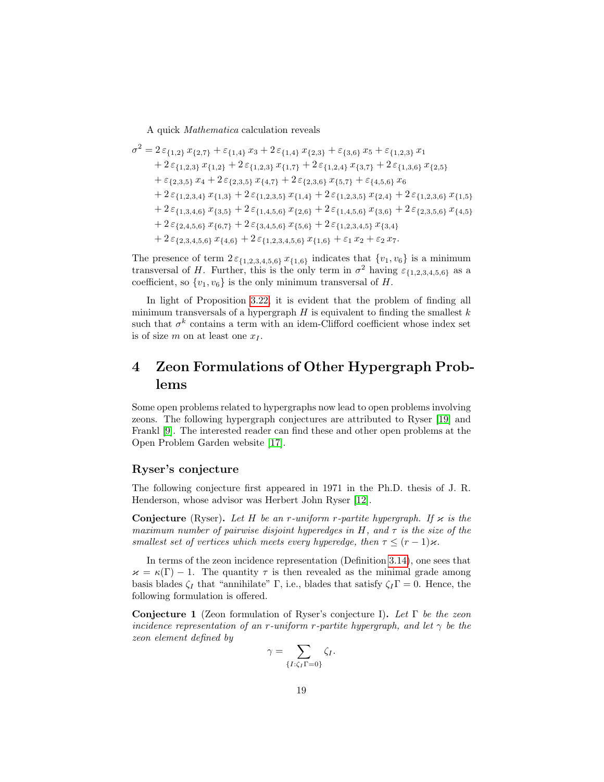A quick Mathematica calculation reveals

$$
\sigma^2 = 2 \varepsilon_{\{1,2\}} x_{\{2,7\}} + \varepsilon_{\{1,4\}} x_3 + 2 \varepsilon_{\{1,4\}} x_{\{2,3\}} + \varepsilon_{\{3,6\}} x_5 + \varepsilon_{\{1,2,3\}} x_1 \n+ 2 \varepsilon_{\{1,2,3\}} x_{\{1,2\}} + 2 \varepsilon_{\{1,2,3\}} x_{\{1,7\}} + 2 \varepsilon_{\{1,2,4\}} x_{\{3,7\}} + 2 \varepsilon_{\{1,3,6\}} x_{\{2,5\}} \n+ \varepsilon_{\{2,3,5\}} x_4 + 2 \varepsilon_{\{2,3,5\}} x_{\{4,7\}} + 2 \varepsilon_{\{2,3,6\}} x_{\{5,7\}} + \varepsilon_{\{4,5,6\}} x_6 \n+ 2 \varepsilon_{\{1,2,3,4\}} x_{\{1,3\}} + 2 \varepsilon_{\{1,2,3,5\}} x_{\{1,4\}} + 2 \varepsilon_{\{1,2,3,5\}} x_{\{2,4\}} + 2 \varepsilon_{\{1,2,3,6\}} x_{\{1,5\}} \n+ 2 \varepsilon_{\{1,3,4,6\}} x_{\{3,5\}} + 2 \varepsilon_{\{1,4,5,6\}} x_{\{2,6\}} + 2 \varepsilon_{\{1,4,5,6\}} x_{\{3,6\}} + 2 \varepsilon_{\{2,3,5,6\}} x_{\{4,5\}} \n+ 2 \varepsilon_{\{2,4,5,6\}} x_{\{6,7\}} + 2 \varepsilon_{\{3,4,5,6\}} x_{\{5,6\}} + 2 \varepsilon_{\{1,2,3,4,5\}} x_{\{3,4\}} \n+ 2 \varepsilon_{\{2,3,4,5,6\}} x_{\{4,6\}} + 2 \varepsilon_{\{1,2,3,4,5,6\}} x_{\{1,6\}} + \varepsilon_1 x_2 + \varepsilon_2 x_7.
$$

The presence of term  $2\varepsilon_{\{1,2,3,4,5,6\}} x_{\{1,6\}}$  indicates that  $\{v_1, v_6\}$  is a minimum transversal of H. Further, this is the only term in  $\sigma^2$  having  $\varepsilon_{\{1,2,3,4,5,6\}}$  as a coefficient, so  $\{v_1, v_6\}$  is the only minimum transversal of H.

In light of Proposition [3.22,](#page-17-1) it is evident that the problem of finding all minimum transversals of a hypergraph  $H$  is equivalent to finding the smallest  $k$ such that  $\sigma^k$  contains a term with an idem-Clifford coefficient whose index set is of size m on at least one  $x_I$ .

# <span id="page-18-0"></span>4 Zeon Formulations of Other Hypergraph Problems

Some open problems related to hypergraphs now lead to open problems involving zeons. The following hypergraph conjectures are attributed to Ryser [\[19\]](#page-21-8) and Frankl [\[9\]](#page-20-9). The interested reader can find these and other open problems at the Open Problem Garden website [\[17\]](#page-21-9).

### Ryser's conjecture

The following conjecture first appeared in 1971 in the Ph.D. thesis of J. R. Henderson, whose advisor was Herbert John Ryser [\[12\]](#page-20-10).

**Conjecture** (Ryser). Let H be an r-uniform r-partite hypergraph. If  $\varkappa$  is the maximum number of pairwise disjoint hyperedges in H, and  $\tau$  is the size of the smallest set of vertices which meets every hyperedge, then  $\tau \leq (r-1)\varkappa$ .

In terms of the zeon incidence representation (Definition [3.14\)](#page-15-2), one sees that  $\varkappa = \kappa(\Gamma) - 1$ . The quantity  $\tau$  is then revealed as the minimal grade among basis blades  $\zeta_I$  that "annihilate" Γ, i.e., blades that satisfy  $\zeta_I \Gamma = 0$ . Hence, the following formulation is offered.

Conjecture 1 (Zeon formulation of Ryser's conjecture I). Let  $\Gamma$  be the zeon incidence representation of an r-uniform r-partite hypergraph, and let  $\gamma$  be the zeon element defined by

$$
\gamma = \sum_{\{I:\zeta_I\Gamma = 0\}} \zeta_I.
$$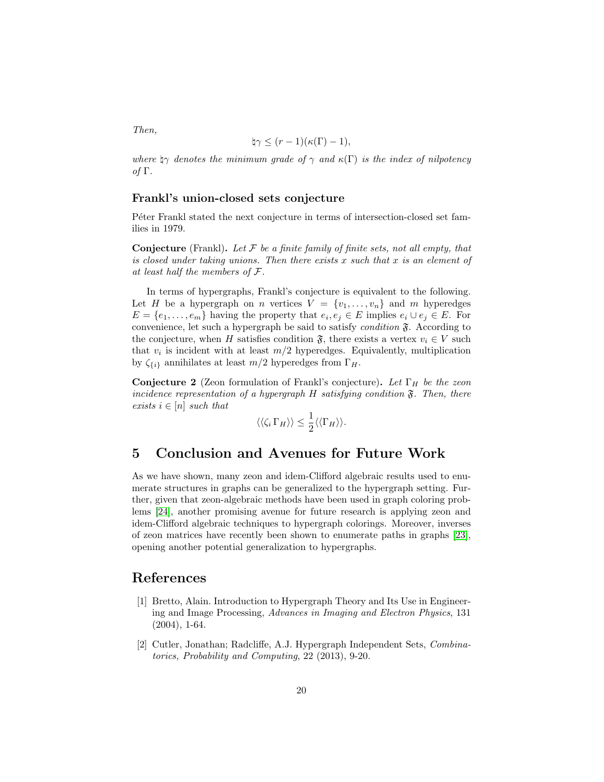Then,

$$
\natural \gamma \le (r-1)(\kappa(\Gamma)-1),
$$

where  $\gamma$  denotes the minimum grade of  $\gamma$  and  $\kappa(\Gamma)$  is the index of nilpotency of Γ.

#### Frankl's union-closed sets conjecture

Péter Frankl stated the next conjecture in terms of intersection-closed set families in 1979.

**Conjecture** (Frankl). Let  $\mathcal F$  be a finite family of finite sets, not all empty, that is closed under taking unions. Then there exists  $x$  such that  $x$  is an element of at least half the members of F.

In terms of hypergraphs, Frankl's conjecture is equivalent to the following. Let H be a hypergraph on n vertices  $V = \{v_1, \ldots, v_n\}$  and m hyperedges  $E = \{e_1, \ldots, e_m\}$  having the property that  $e_i, e_j \in E$  implies  $e_i \cup e_j \in E$ . For convenience, let such a hypergraph be said to satisfy *condition*  $\mathfrak{F}$ . According to the conjecture, when H satisfies condition  $\mathfrak{F}$ , there exists a vertex  $v_i \in V$  such that  $v_i$  is incident with at least  $m/2$  hyperedges. Equivalently, multiplication by  $\zeta_{\{i\}}$  annihilates at least  $m/2$  hyperedges from  $\Gamma_H$ .

Conjecture 2 (Zeon formulation of Frankl's conjecture). Let  $\Gamma_H$  be the zeon incidence representation of a hypergraph  $H$  satisfying condition  $\mathfrak{F}$ . Then, there exists  $i \in [n]$  such that

$$
\langle \langle \zeta_i \Gamma_H \rangle \rangle \leq \frac{1}{2} \langle \langle \Gamma_H \rangle \rangle.
$$

# <span id="page-19-1"></span>5 Conclusion and Avenues for Future Work

As we have shown, many zeon and idem-Clifford algebraic results used to enumerate structures in graphs can be generalized to the hypergraph setting. Further, given that zeon-algebraic methods have been used in graph coloring problems [\[24\]](#page-21-5), another promising avenue for future research is applying zeon and idem-Clifford algebraic techniques to hypergraph colorings. Moreover, inverses of zeon matrices have recently been shown to enumerate paths in graphs [\[23\]](#page-21-10), opening another potential generalization to hypergraphs.

# References

- <span id="page-19-0"></span>[1] Bretto, Alain. Introduction to Hypergraph Theory and Its Use in Engineering and Image Processing, Advances in Imaging and Electron Physics, 131 (2004), 1-64.
- <span id="page-19-2"></span>[2] Cutler, Jonathan; Radcliffe, A.J. Hypergraph Independent Sets, Combinatorics, Probability and Computing, 22 (2013), 9-20.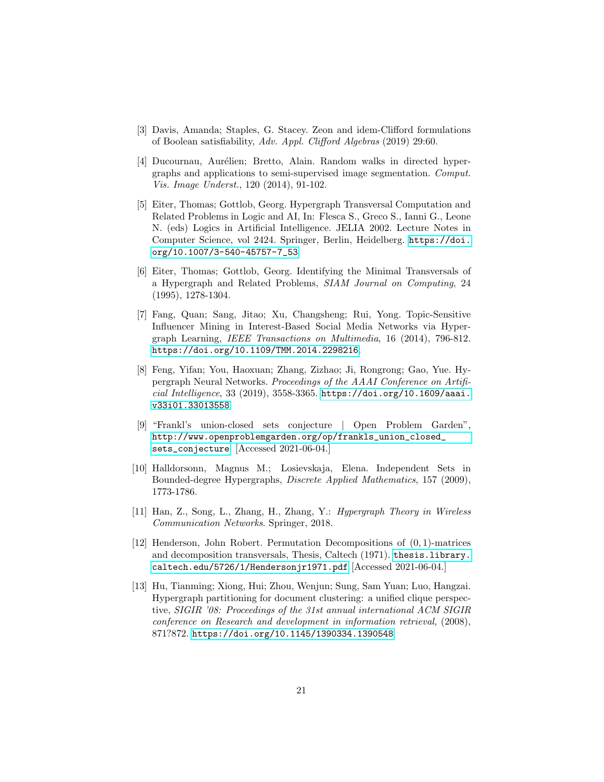- <span id="page-20-7"></span>[3] Davis, Amanda; Staples, G. Stacey. Zeon and idem-Clifford formulations of Boolean satisfiability, Adv. Appl. Clifford Algebras (2019) 29:60.
- <span id="page-20-2"></span>[4] Ducournau, Aurélien; Bretto, Alain. Random walks in directed hypergraphs and applications to semi-supervised image segmentation. Comput. Vis. Image Underst., 120 (2014), 91-102.
- <span id="page-20-5"></span>[5] Eiter, Thomas; Gottlob, Georg. Hypergraph Transversal Computation and Related Problems in Logic and AI, In: Flesca S., Greco S., Ianni G., Leone N. (eds) Logics in Artificial Intelligence. JELIA 2002. Lecture Notes in Computer Science, vol 2424. Springer, Berlin, Heidelberg. [https://doi.](https://doi.org/10.1007/3-540-45757-7_53) [org/10.1007/3-540-45757-7\\_53](https://doi.org/10.1007/3-540-45757-7_53)
- <span id="page-20-6"></span>[6] Eiter, Thomas; Gottlob, Georg. Identifying the Minimal Transversals of a Hypergraph and Related Problems, SIAM Journal on Computing, 24 (1995), 1278-1304.
- <span id="page-20-3"></span>[7] Fang, Quan; Sang, Jitao; Xu, Changsheng; Rui, Yong. Topic-Sensitive Influencer Mining in Interest-Based Social Media Networks via Hypergraph Learning, IEEE Transactions on Multimedia, 16 (2014), 796-812. <https://doi.org/10.1109/TMM.2014.2298216>.
- <span id="page-20-1"></span>[8] Feng, Yifan; You, Haoxuan; Zhang, Zizhao; Ji, Rongrong; Gao, Yue. Hypergraph Neural Networks. Proceedings of the AAAI Conference on Artificial Intelligence, 33 (2019), 3558-3365. [https://doi.org/10.1609/aaai.](https://doi.org/10.1609/aaai.v33i01.33013558) [v33i01.33013558](https://doi.org/10.1609/aaai.v33i01.33013558).
- <span id="page-20-9"></span>[9] "Frankl's union-closed sets conjecture | Open Problem Garden", [http://www.openproblemgarden.org/op/frankls\\_union\\_closed\\_](http://www.openproblemgarden.org/op/frankls_union_closed_sets_conjecture) [sets\\_conjecture](http://www.openproblemgarden.org/op/frankls_union_closed_sets_conjecture). [Accessed 2021-06-04.]
- <span id="page-20-8"></span>[10] Halldorsonn, Magnus M.; Losievskaja, Elena. Independent Sets in Bounded-degree Hypergraphs, Discrete Applied Mathematics, 157 (2009), 1773-1786.
- <span id="page-20-0"></span>[11] Han, Z., Song, L., Zhang, H., Zhang, Y.: Hypergraph Theory in Wireless Communication Networks. Springer, 2018.
- <span id="page-20-10"></span>[12] Henderson, John Robert. Permutation Decompositions of (0, 1)-matrices and decomposition transversals, Thesis, Caltech (1971). [thesis.library.](thesis.library.caltech.edu/5726/1/Hendersonjr1971.pdf) [caltech.edu/5726/1/Hendersonjr1971.pdf](thesis.library.caltech.edu/5726/1/Hendersonjr1971.pdf) [Accessed 2021-06-04.]
- <span id="page-20-4"></span>[13] Hu, Tianming; Xiong, Hui; Zhou, Wenjun; Sung, Sam Yuan; Luo, Hangzai. Hypergraph partitioning for document clustering: a unified clique perspective, SIGIR '08: Proceedings of the 31st annual international ACM SIGIR conference on Research and development in information retrieval, (2008), 871?872. <https://doi.org/10.1145/1390334.1390548>